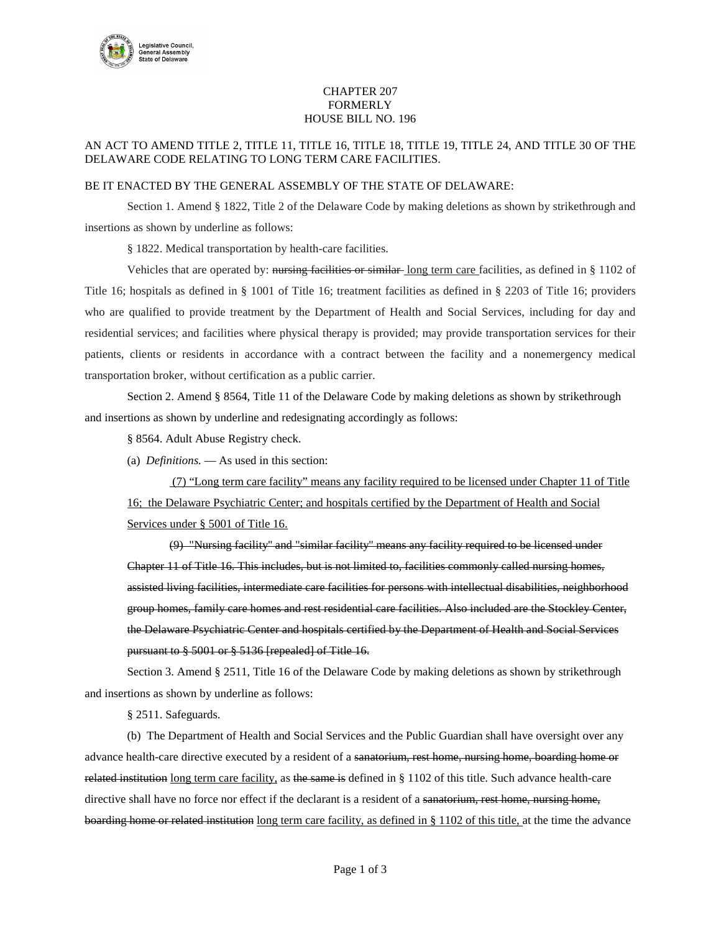

## CHAPTER 207 FORMERLY HOUSE BILL NO. 196

## AN ACT TO AMEND TITLE 2, TITLE 11, TITLE 16, TITLE 18, TITLE 19, TITLE 24, AND TITLE 30 OF THE DELAWARE CODE RELATING TO LONG TERM CARE FACILITIES.

## BE IT ENACTED BY THE GENERAL ASSEMBLY OF THE STATE OF DELAWARE:

Section 1. Amend § 1822, Title 2 of the Delaware Code by making deletions as shown by strikethrough and insertions as shown by underline as follows:

§ 1822. Medical transportation by health-care facilities.

Vehicles that are operated by: nursing facilities or similar-long term care facilities, as defined in § 1102 of Title 16; hospitals as defined in § 1001 of Title 16; treatment facilities as defined in § 2203 of Title 16; providers who are qualified to provide treatment by the Department of Health and Social Services, including for day and residential services; and facilities where physical therapy is provided; may provide transportation services for their patients, clients or residents in accordance with a contract between the facility and a nonemergency medical transportation broker, without certification as a public carrier.

Section 2. Amend § 8564, Title 11 of the Delaware Code by making deletions as shown by strikethrough and insertions as shown by underline and redesignating accordingly as follows:

§ 8564. Adult Abuse Registry check.

(a) *Definitions.* — As used in this section:

(7) "Long term care facility" means any facility required to be licensed under Chapter 11 of Title 16; the Delaware Psychiatric Center; and hospitals certified by the Department of Health and Social Services under § 5001 of Title 16.

(9) "Nursing facility'' and "similar facility'' means any facility required to be licensed under Chapter 11 of Title 16. This includes, but is not limited to, facilities commonly called nursing homes, assisted living facilities, intermediate care facilities for persons with intellectual disabilities, neighborhood group homes, family care homes and rest residential care facilities. Also included are the Stockley Center, the Delaware Psychiatric Center and hospitals certified by the Department of Health and Social Services pursuant to § 5001 or § 5136 [repealed] of Title 16.

Section 3. Amend § 2511, Title 16 of the Delaware Code by making deletions as shown by strikethrough and insertions as shown by underline as follows:

§ 2511. Safeguards.

(b) The Department of Health and Social Services and the Public Guardian shall have oversight over any advance health-care directive executed by a resident of a sanatorium, rest home, nursing home, boarding home or related institution long term care facility, as the same is defined in  $\S 1102$  of this title. Such advance health-care directive shall have no force nor effect if the declarant is a resident of a sanatorium, rest home, nursing home, boarding home or related institution long term care facility, as defined in § 1102 of this title, at the time the advance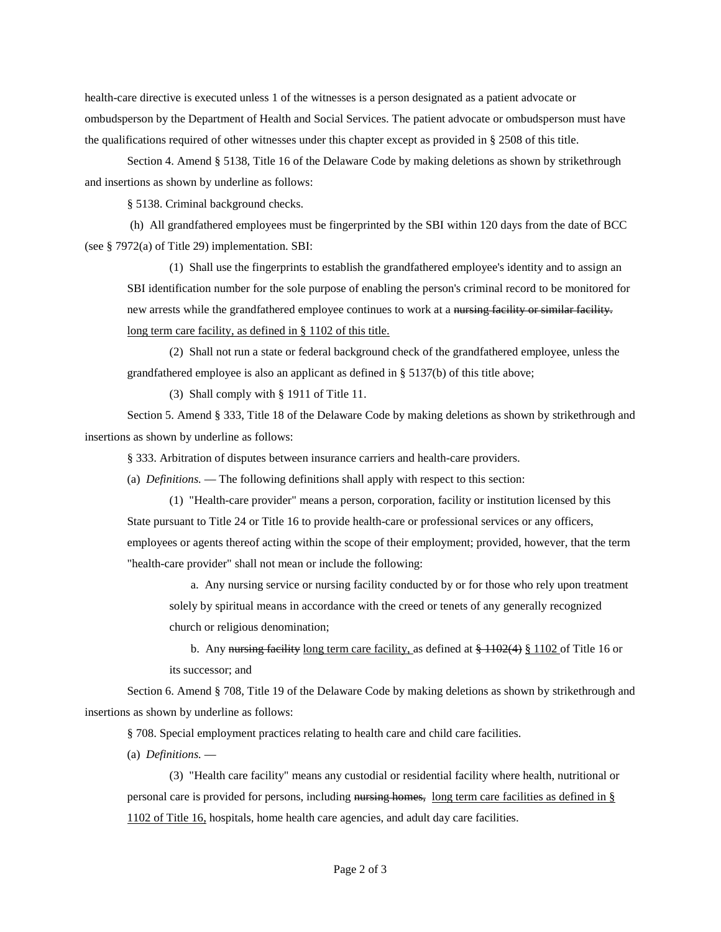health-care directive is executed unless 1 of the witnesses is a person designated as a patient advocate or ombudsperson by the Department of Health and Social Services. The patient advocate or ombudsperson must have the qualifications required of other witnesses under this chapter except as provided in § 2508 of this title.

Section 4. Amend § 5138, Title 16 of the Delaware Code by making deletions as shown by strikethrough and insertions as shown by underline as follows:

§ 5138. Criminal background checks.

(h) All grandfathered employees must be fingerprinted by the SBI within 120 days from the date of BCC (see § 7972(a) of Title 29) implementation. SBI:

(1) Shall use the fingerprints to establish the grandfathered employee's identity and to assign an SBI identification number for the sole purpose of enabling the person's criminal record to be monitored for new arrests while the grandfathered employee continues to work at a nursing facility or similar facility. long term care facility, as defined in § 1102 of this title.

(2) Shall not run a state or federal background check of the grandfathered employee, unless the grandfathered employee is also an applicant as defined in § 5137(b) of this title above;

(3) Shall comply with § 1911 of Title 11.

Section 5. Amend § 333, Title 18 of the Delaware Code by making deletions as shown by strikethrough and insertions as shown by underline as follows:

§ 333. Arbitration of disputes between insurance carriers and health-care providers.

(a) *Definitions.* — The following definitions shall apply with respect to this section:

(1) "Health-care provider" means a person, corporation, facility or institution licensed by this State pursuant to Title 24 or Title 16 to provide health-care or professional services or any officers, employees or agents thereof acting within the scope of their employment; provided, however, that the term "health-care provider" shall not mean or include the following:

a. Any nursing service or nursing facility conducted by or for those who rely upon treatment solely by spiritual means in accordance with the creed or tenets of any generally recognized church or religious denomination;

b. Any nursing facility long term care facility, as defined at  $\frac{1102(4)}{8}$  \$ 1102 of Title 16 or its successor; and

Section 6. Amend § 708, Title 19 of the Delaware Code by making deletions as shown by strikethrough and insertions as shown by underline as follows:

§ 708. Special employment practices relating to health care and child care facilities.

(a) *Definitions.* —

(3) "Health care facility" means any custodial or residential facility where health, nutritional or personal care is provided for persons, including nursing homes, long term care facilities as defined in § 1102 of Title 16, hospitals, home health care agencies, and adult day care facilities.